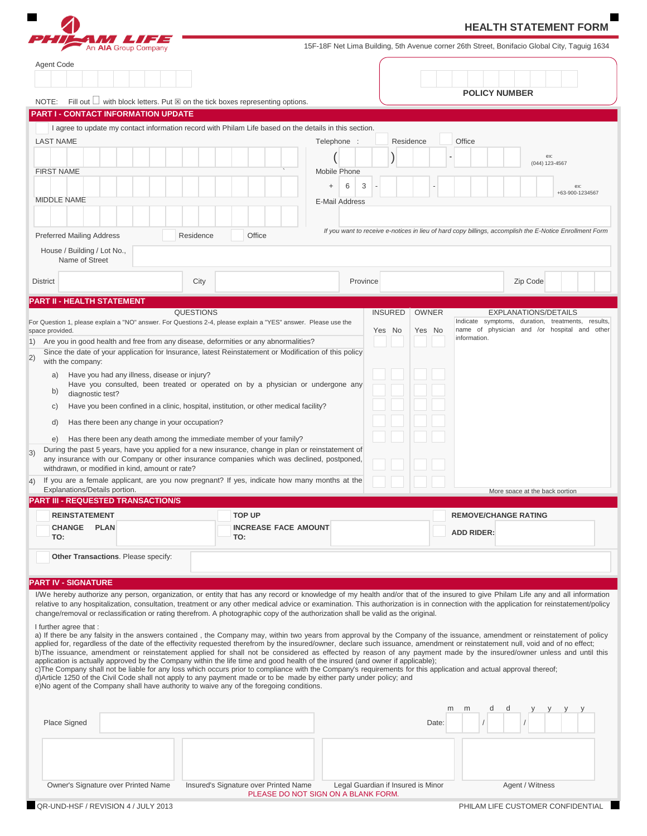|                                                                                                                                                 |                  |                                                                                                                                                                                                                                                                                                      |                |              | <b>HEALTH STATEMENT FORM</b>                                                                                                                                                                                                                                                                                                                                                                                                                                                                                                                                                                                                                                                                                                 |
|-------------------------------------------------------------------------------------------------------------------------------------------------|------------------|------------------------------------------------------------------------------------------------------------------------------------------------------------------------------------------------------------------------------------------------------------------------------------------------------|----------------|--------------|------------------------------------------------------------------------------------------------------------------------------------------------------------------------------------------------------------------------------------------------------------------------------------------------------------------------------------------------------------------------------------------------------------------------------------------------------------------------------------------------------------------------------------------------------------------------------------------------------------------------------------------------------------------------------------------------------------------------------|
| An AIA Group Company                                                                                                                            |                  |                                                                                                                                                                                                                                                                                                      |                |              | 15F-18F Net Lima Building, 5th Avenue corner 26th Street, Bonifacio Global City, Taguig 1634                                                                                                                                                                                                                                                                                                                                                                                                                                                                                                                                                                                                                                 |
| Agent Code                                                                                                                                      |                  |                                                                                                                                                                                                                                                                                                      |                |              |                                                                                                                                                                                                                                                                                                                                                                                                                                                                                                                                                                                                                                                                                                                              |
|                                                                                                                                                 |                  |                                                                                                                                                                                                                                                                                                      |                |              | <b>POLICY NUMBER</b>                                                                                                                                                                                                                                                                                                                                                                                                                                                                                                                                                                                                                                                                                                         |
| NOTE:                                                                                                                                           |                  | Fill out $\Box$ with block letters. Put $\boxtimes$ on the tick boxes representing options.                                                                                                                                                                                                          |                |              |                                                                                                                                                                                                                                                                                                                                                                                                                                                                                                                                                                                                                                                                                                                              |
| PART I - CONTACT INFORMATION UPDATE                                                                                                             |                  |                                                                                                                                                                                                                                                                                                      |                |              |                                                                                                                                                                                                                                                                                                                                                                                                                                                                                                                                                                                                                                                                                                                              |
| <b>LAST NAME</b>                                                                                                                                |                  | I agree to update my contact information record with Philam Life based on the details in this section.<br>Telephone :                                                                                                                                                                                |                | Residence    | Office                                                                                                                                                                                                                                                                                                                                                                                                                                                                                                                                                                                                                                                                                                                       |
|                                                                                                                                                 |                  |                                                                                                                                                                                                                                                                                                      |                |              | ex:                                                                                                                                                                                                                                                                                                                                                                                                                                                                                                                                                                                                                                                                                                                          |
| <b>FIRST NAME</b>                                                                                                                               |                  | Mobile Phone                                                                                                                                                                                                                                                                                         |                |              | (044) 123-4567                                                                                                                                                                                                                                                                                                                                                                                                                                                                                                                                                                                                                                                                                                               |
|                                                                                                                                                 |                  | 6<br>$\ddot{}$                                                                                                                                                                                                                                                                                       | 3              |              | ex:                                                                                                                                                                                                                                                                                                                                                                                                                                                                                                                                                                                                                                                                                                                          |
| <b>MIDDLE NAME</b>                                                                                                                              |                  | <b>E-Mail Address</b>                                                                                                                                                                                                                                                                                |                |              | +63-900-1234567                                                                                                                                                                                                                                                                                                                                                                                                                                                                                                                                                                                                                                                                                                              |
|                                                                                                                                                 |                  |                                                                                                                                                                                                                                                                                                      |                |              |                                                                                                                                                                                                                                                                                                                                                                                                                                                                                                                                                                                                                                                                                                                              |
| <b>Preferred Mailing Address</b>                                                                                                                | Residence        | Office                                                                                                                                                                                                                                                                                               |                |              | If you want to receive e-notices in lieu of hard copy billings, accomplish the E-Notice Enrollment Form                                                                                                                                                                                                                                                                                                                                                                                                                                                                                                                                                                                                                      |
| House / Building / Lot No.,                                                                                                                     |                  |                                                                                                                                                                                                                                                                                                      |                |              |                                                                                                                                                                                                                                                                                                                                                                                                                                                                                                                                                                                                                                                                                                                              |
| Name of Street                                                                                                                                  |                  |                                                                                                                                                                                                                                                                                                      |                |              |                                                                                                                                                                                                                                                                                                                                                                                                                                                                                                                                                                                                                                                                                                                              |
| <b>District</b>                                                                                                                                 | City             |                                                                                                                                                                                                                                                                                                      | Province       |              | Zip Code                                                                                                                                                                                                                                                                                                                                                                                                                                                                                                                                                                                                                                                                                                                     |
| <b>PART II - HEALTH STATEMENT</b>                                                                                                               |                  |                                                                                                                                                                                                                                                                                                      |                |              |                                                                                                                                                                                                                                                                                                                                                                                                                                                                                                                                                                                                                                                                                                                              |
|                                                                                                                                                 | <b>QUESTIONS</b> |                                                                                                                                                                                                                                                                                                      | <b>INSURED</b> | <b>OWNER</b> | <b>EXPLANATIONS/DETAILS</b><br>Indicate symptoms, duration, treatments, results,                                                                                                                                                                                                                                                                                                                                                                                                                                                                                                                                                                                                                                             |
| space provided.                                                                                                                                 |                  | For Question 1, please explain a "NO" answer. For Questions 2-4, please explain a "YES" answer. Please use the                                                                                                                                                                                       | Yes No         | Yes No       | name of physician and /or hospital and other<br>information.                                                                                                                                                                                                                                                                                                                                                                                                                                                                                                                                                                                                                                                                 |
| 1) Are you in good health and free from any disease, deformities or any abnormalities?                                                          |                  | Since the date of your application for Insurance, latest Reinstatement or Modification of this policy                                                                                                                                                                                                |                |              |                                                                                                                                                                                                                                                                                                                                                                                                                                                                                                                                                                                                                                                                                                                              |
| with the company:                                                                                                                               |                  |                                                                                                                                                                                                                                                                                                      |                |              |                                                                                                                                                                                                                                                                                                                                                                                                                                                                                                                                                                                                                                                                                                                              |
| Have you had any illness, disease or injury?<br>a)                                                                                              |                  | Have you consulted, been treated or operated on by a physician or undergone any                                                                                                                                                                                                                      |                |              |                                                                                                                                                                                                                                                                                                                                                                                                                                                                                                                                                                                                                                                                                                                              |
| b)<br>diagnostic test?                                                                                                                          |                  |                                                                                                                                                                                                                                                                                                      |                |              |                                                                                                                                                                                                                                                                                                                                                                                                                                                                                                                                                                                                                                                                                                                              |
| $\mathsf{C}$                                                                                                                                    |                  | Have you been confined in a clinic, hospital, institution, or other medical facility?                                                                                                                                                                                                                |                |              |                                                                                                                                                                                                                                                                                                                                                                                                                                                                                                                                                                                                                                                                                                                              |
| Has there been any change in your occupation?<br>d)                                                                                             |                  |                                                                                                                                                                                                                                                                                                      |                |              |                                                                                                                                                                                                                                                                                                                                                                                                                                                                                                                                                                                                                                                                                                                              |
| e)                                                                                                                                              |                  | Has there been any death among the immediate member of your family?<br>During the past 5 years, have you applied for a new insurance, change in plan or reinstatement of                                                                                                                             |                |              |                                                                                                                                                                                                                                                                                                                                                                                                                                                                                                                                                                                                                                                                                                                              |
| withdrawn, or modified in kind, amount or rate?                                                                                                 |                  | any insurance with our Company or other insurance companies which was declined, postponed,                                                                                                                                                                                                           |                |              |                                                                                                                                                                                                                                                                                                                                                                                                                                                                                                                                                                                                                                                                                                                              |
|                                                                                                                                                 |                  | If you are a female applicant, are you now pregnant? If yes, indicate how many months at the                                                                                                                                                                                                         |                |              |                                                                                                                                                                                                                                                                                                                                                                                                                                                                                                                                                                                                                                                                                                                              |
| Explanations/Details portion.<br><b>PART III - REQUESTED TRANSACTION/S</b>                                                                      |                  |                                                                                                                                                                                                                                                                                                      |                |              | More space at the back portion                                                                                                                                                                                                                                                                                                                                                                                                                                                                                                                                                                                                                                                                                               |
| <b>REINSTATEMENT</b>                                                                                                                            |                  | <b>TOP UP</b>                                                                                                                                                                                                                                                                                        |                |              | <b>REMOVE/CHANGE RATING</b>                                                                                                                                                                                                                                                                                                                                                                                                                                                                                                                                                                                                                                                                                                  |
| CHANGE PLAN                                                                                                                                     |                  | <b>INCREASE FACE AMOUNT</b>                                                                                                                                                                                                                                                                          |                |              | <b>ADD RIDER:</b>                                                                                                                                                                                                                                                                                                                                                                                                                                                                                                                                                                                                                                                                                                            |
|                                                                                                                                                 |                  | TO:                                                                                                                                                                                                                                                                                                  |                |              |                                                                                                                                                                                                                                                                                                                                                                                                                                                                                                                                                                                                                                                                                                                              |
| TO:                                                                                                                                             |                  |                                                                                                                                                                                                                                                                                                      |                |              |                                                                                                                                                                                                                                                                                                                                                                                                                                                                                                                                                                                                                                                                                                                              |
| Other Transactions. Please specify:                                                                                                             |                  |                                                                                                                                                                                                                                                                                                      |                |              |                                                                                                                                                                                                                                                                                                                                                                                                                                                                                                                                                                                                                                                                                                                              |
|                                                                                                                                                 |                  |                                                                                                                                                                                                                                                                                                      |                |              |                                                                                                                                                                                                                                                                                                                                                                                                                                                                                                                                                                                                                                                                                                                              |
|                                                                                                                                                 |                  |                                                                                                                                                                                                                                                                                                      |                |              |                                                                                                                                                                                                                                                                                                                                                                                                                                                                                                                                                                                                                                                                                                                              |
|                                                                                                                                                 |                  |                                                                                                                                                                                                                                                                                                      |                |              |                                                                                                                                                                                                                                                                                                                                                                                                                                                                                                                                                                                                                                                                                                                              |
|                                                                                                                                                 |                  | change/removal or reclassification or rating therefrom. A photographic copy of the authorization shall be valid as the original.                                                                                                                                                                     |                |              |                                                                                                                                                                                                                                                                                                                                                                                                                                                                                                                                                                                                                                                                                                                              |
|                                                                                                                                                 |                  |                                                                                                                                                                                                                                                                                                      |                |              |                                                                                                                                                                                                                                                                                                                                                                                                                                                                                                                                                                                                                                                                                                                              |
|                                                                                                                                                 |                  |                                                                                                                                                                                                                                                                                                      |                |              | applied for, regardless of the date of the effectivity requested therefrom by the insured/owner, declare such issuance, amendment or reinstatement null, void and of no effect;                                                                                                                                                                                                                                                                                                                                                                                                                                                                                                                                              |
|                                                                                                                                                 |                  | application is actually approved by the Company within the life time and good health of the insured (and owner if applicable);<br>c) The Company shall not be liable for any loss which occurs prior to compliance with the Company's requirements for this application and actual approval thereof; |                |              |                                                                                                                                                                                                                                                                                                                                                                                                                                                                                                                                                                                                                                                                                                                              |
| <b>PART IV - SIGNATURE</b><br>I further agree that:<br>e)No agent of the Company shall have authority to waive any of the foregoing conditions. |                  | d) Article 1250 of the Civil Code shall not apply to any payment made or to be made by either party under policy; and                                                                                                                                                                                |                |              |                                                                                                                                                                                                                                                                                                                                                                                                                                                                                                                                                                                                                                                                                                                              |
|                                                                                                                                                 |                  |                                                                                                                                                                                                                                                                                                      |                |              | I/We hereby authorize any person, organization, or entity that has any record or knowledge of my health and/or that of the insured to give Philam Life any and all information<br>relative to any hospitalization, consultation, treatment or any other medical advice or examination. This authorization is in connection with the application for reinstatement/policy<br>a) If there be any falsity in the answers contained, the Company may, within two years from approval by the Company of the issuance, amendment or reinstatement of policy<br>b)The issuance, amendment or reinstatement applied for shall not be considered as effected by reason of any payment made by the insured/owner unless and until this |
|                                                                                                                                                 |                  |                                                                                                                                                                                                                                                                                                      |                |              | m<br>m                                                                                                                                                                                                                                                                                                                                                                                                                                                                                                                                                                                                                                                                                                                       |
| Place Signed                                                                                                                                    |                  |                                                                                                                                                                                                                                                                                                      |                | Date:        |                                                                                                                                                                                                                                                                                                                                                                                                                                                                                                                                                                                                                                                                                                                              |
|                                                                                                                                                 |                  |                                                                                                                                                                                                                                                                                                      |                |              |                                                                                                                                                                                                                                                                                                                                                                                                                                                                                                                                                                                                                                                                                                                              |
|                                                                                                                                                 |                  |                                                                                                                                                                                                                                                                                                      |                |              |                                                                                                                                                                                                                                                                                                                                                                                                                                                                                                                                                                                                                                                                                                                              |